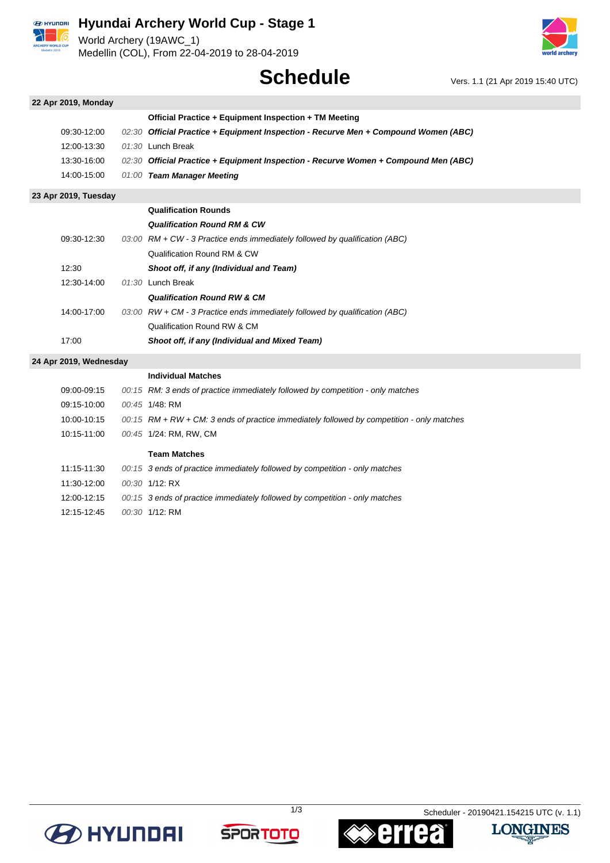

# **Hyundai Archery World Cup - Stage 1**

World Archery (19AWC\_1) Medellin (COL), From 22-04-2019 to 28-04-2019



# **Schedule** Vers. 1.1 (21 Apr 2019 15:40 UTC)

| 22 Apr 2019, Monday    |                                                                                             |
|------------------------|---------------------------------------------------------------------------------------------|
|                        | Official Practice + Equipment Inspection + TM Meeting                                       |
| 09:30-12:00            | 02:30 Official Practice + Equipment Inspection - Recurve Men + Compound Women (ABC)         |
| 12:00-13:30            | 01:30 Lunch Break                                                                           |
| 13:30-16:00            | 02:30 Official Practice + Equipment Inspection - Recurve Women + Compound Men (ABC)         |
| 14:00-15:00            | 01:00 Team Manager Meeting                                                                  |
| 23 Apr 2019, Tuesday   |                                                                                             |
|                        | <b>Qualification Rounds</b>                                                                 |
|                        | <b>Qualification Round RM &amp; CW</b>                                                      |
| 09:30-12:30            | $03:00$ RM + CW - 3 Practice ends immediately followed by qualification (ABC)               |
|                        | Qualification Round RM & CW                                                                 |
| 12:30                  | Shoot off, if any (Individual and Team)                                                     |
| 12:30-14:00            | 01:30 Lunch Break                                                                           |
|                        | <b>Qualification Round RW &amp; CM</b>                                                      |
| 14:00-17:00            | 03:00 RW + CM - 3 Practice ends immediately followed by qualification (ABC)                 |
|                        | Qualification Round RW & CM                                                                 |
| 17:00                  | Shoot off, if any (Individual and Mixed Team)                                               |
| 24 Apr 2019, Wednesday |                                                                                             |
|                        | <b>Individual Matches</b>                                                                   |
| 09:00-09:15            | 00:15 RM: 3 ends of practice immediately followed by competition - only matches             |
| 09:15-10:00            | 00:45 1/48: RM                                                                              |
| 10:00-10:15            | $00:15$ RM + RW + CM: 3 ends of practice immediately followed by competition - only matches |
| 10:15-11:00            | 00:45 1/24: RM, RW, CM                                                                      |
|                        | <b>Team Matches</b>                                                                         |
| 11:15-11:30            | 00:15 3 ends of practice immediately followed by competition - only matches                 |
| 11:30-12:00            | 00:30 1/12: RX                                                                              |
| 12:00-12:15            | 00:15 3 ends of practice immediately followed by competition - only matches                 |

12:15-12:45 00:30 1/12: RM







t

1/3 Scheduler - 20190421.154215 UTC (v. 1.1)

**LONGINES**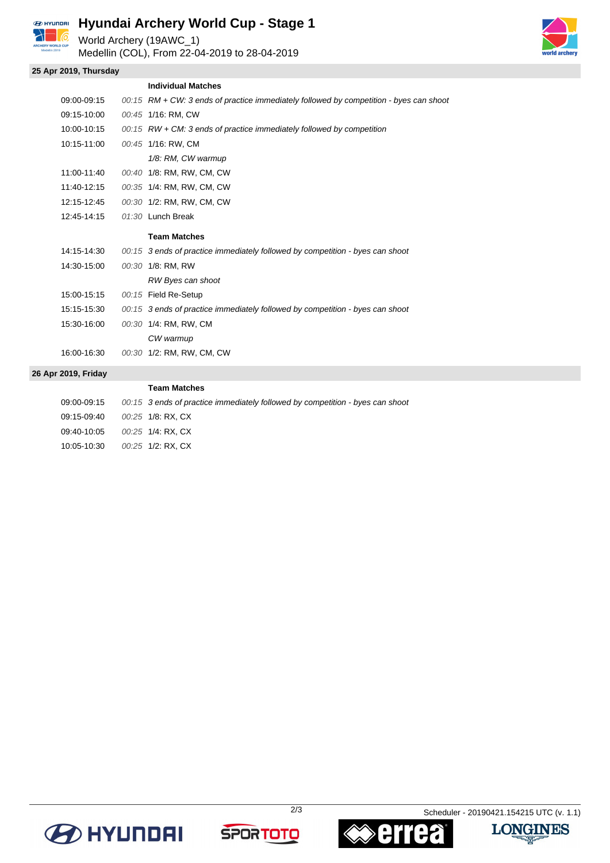

# **Hyundai Archery World Cup - Stage 1**

World Archery (19AWC\_1)

Medellin (COL), From 22-04-2019 to 28-04-2019



### **25 Apr 2019, Thursday**

|                | <b>Individual Matches</b>                                                              |
|----------------|----------------------------------------------------------------------------------------|
| 09:00-09:15    | 00:15 RM + CW: 3 ends of practice immediately followed by competition - byes can shoot |
| 09:15-10:00    | 00:45 1/16: RM, CW                                                                     |
| 10:00-10:15    | $00:15$ RW + CM: 3 ends of practice immediately followed by competition                |
| 10:15-11:00    | 00:45 1/16: RW, CM                                                                     |
|                | 1/8: RM, CW warmup                                                                     |
| 11:00-11:40    | 00:40 1/8: RM, RW, CM, CW                                                              |
| 11:40-12:15    | 00:35 1/4: RM, RW, CM, CW                                                              |
| 12:15-12:45    | 00:30 1/2: RM, RW, CM, CW                                                              |
| 12:45-14:15    | 01:30 Lunch Break                                                                      |
|                | <b>Team Matches</b>                                                                    |
| 14:15-14:30    | 00:15 3 ends of practice immediately followed by competition - byes can shoot          |
| 14:30-15:00    | 00:30 1/8: RM, RW                                                                      |
|                | RW Byes can shoot                                                                      |
| 15:00-15:15    | 00:15 Field Re-Setup                                                                   |
| 15:15-15:30    | 00:15 3 ends of practice immediately followed by competition - byes can shoot          |
| 15:30-16:00    | 00:30 1/4: RM, RW, CM                                                                  |
|                | CW warmup                                                                              |
| 16:00-16:30    | 00:30 1/2: RM, RW, CM, CW                                                              |
| r 2019. Fridav |                                                                                        |

### **26 Ap**

|             | <b>Team Matches</b>                                                           |
|-------------|-------------------------------------------------------------------------------|
| 09:00-09:15 | 00:15 3 ends of practice immediately followed by competition - byes can shoot |
| 09.15-09.40 | 00.25 1/8: RX. CX                                                             |
| 09:40-10:05 | 00:25 1/4: RX. CX                                                             |
| 10:05-10:30 | 00:25 1/2: RX, CX                                                             |